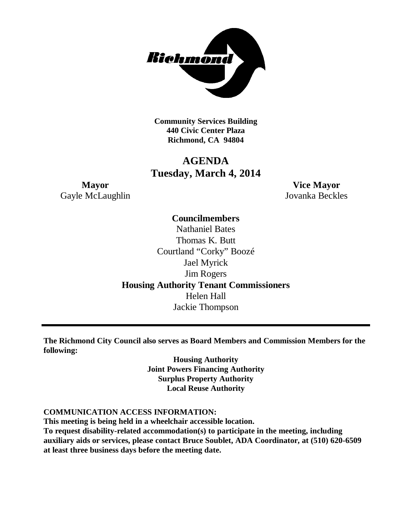

**Community Services Building 440 Civic Center Plaza Richmond, CA 94804**

## **AGENDA Tuesday, March 4, 2014**

**Mayor Vice Mayor** Gayle McLaughlin Jovanka Beckles

**Councilmembers**

Nathaniel Bates Thomas K. Butt Courtland "Corky" Boozé Jael Myrick Jim Rogers **Housing Authority Tenant Commissioners** Helen Hall Jackie Thompson

**The Richmond City Council also serves as Board Members and Commission Members for the following:**

> **Housing Authority Joint Powers Financing Authority Surplus Property Authority Local Reuse Authority**

#### **COMMUNICATION ACCESS INFORMATION:**

**This meeting is being held in a wheelchair accessible location.**

**To request disability-related accommodation(s) to participate in the meeting, including auxiliary aids or services, please contact Bruce Soublet, ADA Coordinator, at (510) 620-6509 at least three business days before the meeting date.**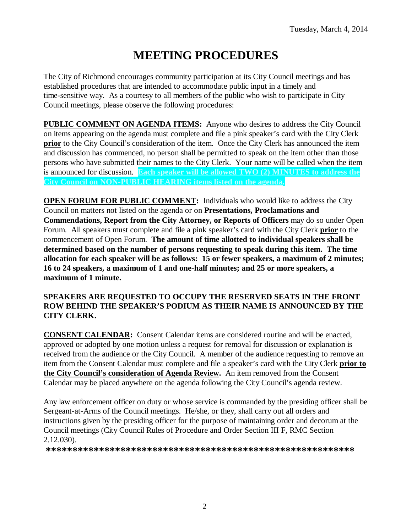# **MEETING PROCEDURES**

The City of Richmond encourages community participation at its City Council meetings and has established procedures that are intended to accommodate public input in a timely and time-sensitive way. As a courtesy to all members of the public who wish to participate in City Council meetings, please observe the following procedures:

**PUBLIC COMMENT ON AGENDA ITEMS:** Anyone who desires to address the City Council on items appearing on the agenda must complete and file a pink speaker's card with the City Clerk **prior** to the City Council's consideration of the item. Once the City Clerk has announced the item and discussion has commenced, no person shall be permitted to speak on the item other than those persons who have submitted their names to the City Clerk. Your name will be called when the item is announced for discussion. **Each speaker will be allowed TWO (2) MINUTES to address the City Council on NON-PUBLIC HEARING items listed on the agenda.**

**OPEN FORUM FOR PUBLIC COMMENT:** Individuals who would like to address the City Council on matters not listed on the agenda or on **Presentations, Proclamations and Commendations, Report from the City Attorney, or Reports of Officers** may do so under Open Forum. All speakers must complete and file a pink speaker's card with the City Clerk **prior** to the commencement of Open Forum. **The amount of time allotted to individual speakers shall be determined based on the number of persons requesting to speak during this item. The time allocation for each speaker will be as follows: 15 or fewer speakers, a maximum of 2 minutes; 16 to 24 speakers, a maximum of 1 and one-half minutes; and 25 or more speakers, a maximum of 1 minute.**

#### **SPEAKERS ARE REQUESTED TO OCCUPY THE RESERVED SEATS IN THE FRONT ROW BEHIND THE SPEAKER'S PODIUM AS THEIR NAME IS ANNOUNCED BY THE CITY CLERK.**

**CONSENT CALENDAR:** Consent Calendar items are considered routine and will be enacted, approved or adopted by one motion unless a request for removal for discussion or explanation is received from the audience or the City Council. A member of the audience requesting to remove an item from the Consent Calendar must complete and file a speaker's card with the City Clerk **prior to the City Council's consideration of Agenda Review.** An item removed from the Consent Calendar may be placed anywhere on the agenda following the City Council's agenda review.

Any law enforcement officer on duty or whose service is commanded by the presiding officer shall be Sergeant-at-Arms of the Council meetings. He/she, or they, shall carry out all orders and instructions given by the presiding officer for the purpose of maintaining order and decorum at the Council meetings (City Council Rules of Procedure and Order Section III F, RMC Section 2.12.030).

**\*\*\*\*\*\*\*\*\*\*\*\*\*\*\*\*\*\*\*\*\*\*\*\*\*\*\*\*\*\*\*\*\*\*\*\*\*\*\*\*\*\*\*\*\*\*\*\*\*\*\*\*\*\*\*\*\*\***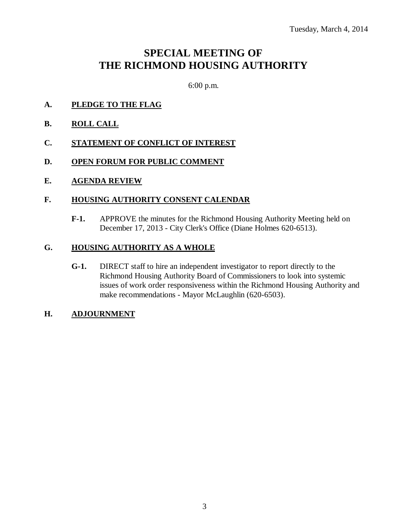## **SPECIAL MEETING OF THE RICHMOND HOUSING AUTHORITY**

6:00 p.m.

- **A. PLEDGE TO THE FLAG**
- **B. ROLL CALL**
- **C. STATEMENT OF CONFLICT OF INTEREST**
- **D. OPEN FORUM FOR PUBLIC COMMENT**
- **E. AGENDA REVIEW**

#### **F. HOUSING AUTHORITY CONSENT CALENDAR**

**F-1.** APPROVE the minutes for the Richmond Housing Authority Meeting held on December 17, 2013 - City Clerk's Office (Diane Holmes 620-6513).

#### **G. HOUSING AUTHORITY AS A WHOLE**

**G-1.** DIRECT staff to hire an independent investigator to report directly to the Richmond Housing Authority Board of Commissioners to look into systemic issues of work order responsiveness within the Richmond Housing Authority and make recommendations - Mayor McLaughlin (620-6503).

#### **H. ADJOURNMENT**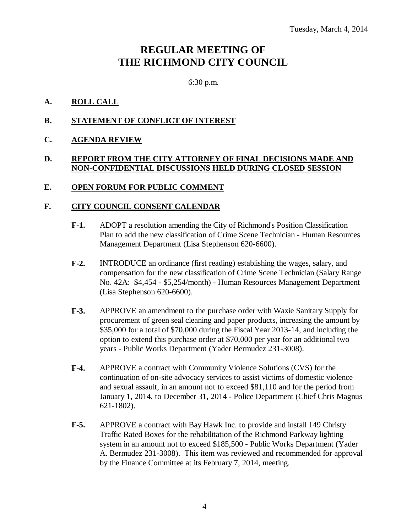## **REGULAR MEETING OF THE RICHMOND CITY COUNCIL**

6:30 p.m.

#### **A. ROLL CALL**

#### **B. STATEMENT OF CONFLICT OF INTEREST**

#### **C. AGENDA REVIEW**

#### **D. REPORT FROM THE CITY ATTORNEY OF FINAL DECISIONS MADE AND NON-CONFIDENTIAL DISCUSSIONS HELD DURING CLOSED SESSION**

#### **E. OPEN FORUM FOR PUBLIC COMMENT**

#### **F. CITY COUNCIL CONSENT CALENDAR**

- **F-1.** ADOPT a resolution amending the City of Richmond's Position Classification Plan to add the new classification of Crime Scene Technician - Human Resources Management Department (Lisa Stephenson 620-6600).
- **F-2.** INTRODUCE an ordinance (first reading) establishing the wages, salary, and compensation for the new classification of Crime Scene Technician (Salary Range No. 42A: \$4,454 - \$5,254/month) - Human Resources Management Department (Lisa Stephenson 620-6600).
- **F-3.** APPROVE an amendment to the purchase order with Waxie Sanitary Supply for procurement of green seal cleaning and paper products, increasing the amount by \$35,000 for a total of \$70,000 during the Fiscal Year 2013-14, and including the option to extend this purchase order at \$70,000 per year for an additional two years - Public Works Department (Yader Bermudez 231-3008).
- **F-4.** APPROVE a contract with Community Violence Solutions (CVS) for the continuation of on-site advocacy services to assist victims of domestic violence and sexual assault, in an amount not to exceed \$81,110 and for the period from January 1, 2014, to December 31, 2014 - Police Department (Chief Chris Magnus 621-1802).
- **F-5.** APPROVE a contract with Bay Hawk Inc. to provide and install 149 Christy Traffic Rated Boxes for the rehabilitation of the Richmond Parkway lighting system in an amount not to exceed \$185,500 - Public Works Department (Yader A. Bermudez 231-3008). This item was reviewed and recommended for approval by the Finance Committee at its February 7, 2014, meeting.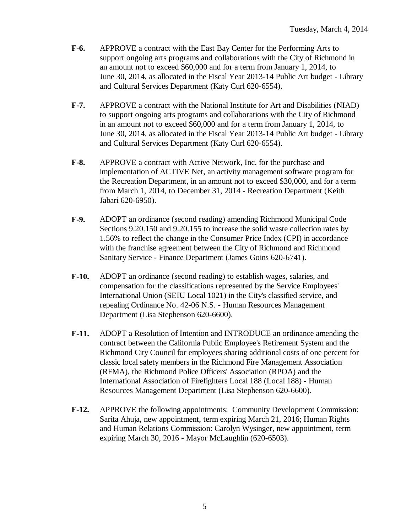- **F-6.** APPROVE a contract with the East Bay Center for the Performing Arts to support ongoing arts programs and collaborations with the City of Richmond in an amount not to exceed \$60,000 and for a term from January 1, 2014, to June 30, 2014, as allocated in the Fiscal Year 2013-14 Public Art budget - Library and Cultural Services Department (Katy Curl 620-6554).
- **F-7.** APPROVE a contract with the National Institute for Art and Disabilities (NIAD) to support ongoing arts programs and collaborations with the City of Richmond in an amount not to exceed \$60,000 and for a term from January 1, 2014, to June 30, 2014, as allocated in the Fiscal Year 2013-14 Public Art budget - Library and Cultural Services Department (Katy Curl 620-6554).
- **F-8.** APPROVE a contract with Active Network, Inc. for the purchase and implementation of ACTIVE Net, an activity management software program for the Recreation Department, in an amount not to exceed \$30,000, and for a term from March 1, 2014, to December 31, 2014 - Recreation Department (Keith Jabari 620-6950).
- **F-9.** ADOPT an ordinance (second reading) amending Richmond Municipal Code Sections 9.20.150 and 9.20.155 to increase the solid waste collection rates by 1.56% to reflect the change in the Consumer Price Index (CPI) in accordance with the franchise agreement between the City of Richmond and Richmond Sanitary Service - Finance Department (James Goins 620-6741).
- **F-10.** ADOPT an ordinance (second reading) to establish wages, salaries, and compensation for the classifications represented by the Service Employees' International Union (SEIU Local 1021) in the City's classified service, and repealing Ordinance No. 42-06 N.S. - Human Resources Management Department (Lisa Stephenson 620-6600).
- **F-11.** ADOPT a Resolution of Intention and INTRODUCE an ordinance amending the contract between the California Public Employee's Retirement System and the Richmond City Council for employees sharing additional costs of one percent for classic local safety members in the Richmond Fire Management Association (RFMA), the Richmond Police Officers' Association (RPOA) and the International Association of Firefighters Local 188 (Local 188) - Human Resources Management Department (Lisa Stephenson 620-6600).
- **F-12.** APPROVE the following appointments: Community Development Commission: Sarita Ahuja, new appointment, term expiring March 21, 2016; Human Rights and Human Relations Commission: Carolyn Wysinger, new appointment, term expiring March 30, 2016 - Mayor McLaughlin (620-6503).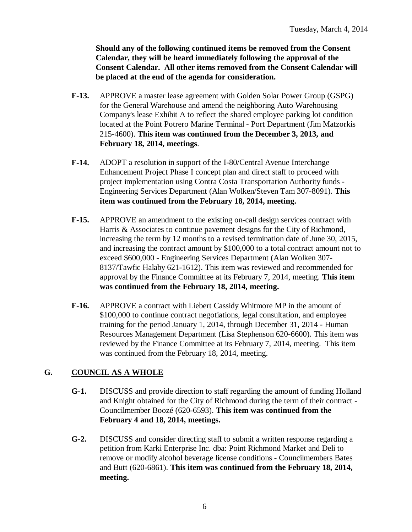**Should any of the following continued items be removed from the Consent Calendar, they will be heard immediately following the approval of the Consent Calendar. All other items removed from the Consent Calendar will be placed at the end of the agenda for consideration.**

- **F-13.** APPROVE a master lease agreement with Golden Solar Power Group (GSPG) for the General Warehouse and amend the neighboring Auto Warehousing Company's lease Exhibit A to reflect the shared employee parking lot condition located at the Point Potrero Marine Terminal - Port Department (Jim Matzorkis 215-4600). **This item was continued from the December 3, 2013, and February 18, 2014, meetings**.
- **F-14.** ADOPT a resolution in support of the I-80/Central Avenue Interchange Enhancement Project Phase I concept plan and direct staff to proceed with project implementation using Contra Costa Transportation Authority funds - Engineering Services Department (Alan Wolken/Steven Tam 307-8091). **This item was continued from the February 18, 2014, meeting.**
- **F-15.** APPROVE an amendment to the existing on-call design services contract with Harris & Associates to continue pavement designs for the City of Richmond, increasing the term by 12 months to a revised termination date of June 30, 2015, and increasing the contract amount by \$100,000 to a total contract amount not to exceed \$600,000 - Engineering Services Department (Alan Wolken 307- 8137/Tawfic Halaby 621-1612). This item was reviewed and recommended for approval by the Finance Committee at its February 7, 2014, meeting. **This item was continued from the February 18, 2014, meeting.**
- **F-16.** APPROVE a contract with Liebert Cassidy Whitmore MP in the amount of \$100,000 to continue contract negotiations, legal consultation, and employee training for the period January 1, 2014, through December 31, 2014 - Human Resources Management Department (Lisa Stephenson 620-6600). This item was reviewed by the Finance Committee at its February 7, 2014, meeting. This item was continued from the February 18, 2014, meeting.

### **G. COUNCIL AS A WHOLE**

- **G-1.** DISCUSS and provide direction to staff regarding the amount of funding Holland and Knight obtained for the City of Richmond during the term of their contract - Councilmember Boozé (620-6593). **This item was continued from the February 4 and 18, 2014, meetings.**
- **G-2.** DISCUSS and consider directing staff to submit a written response regarding a petition from Karki Enterprise Inc. dba: Point Richmond Market and Deli to remove or modify alcohol beverage license conditions - Councilmembers Bates and Butt (620-6861). **This item was continued from the February 18, 2014, meeting.**